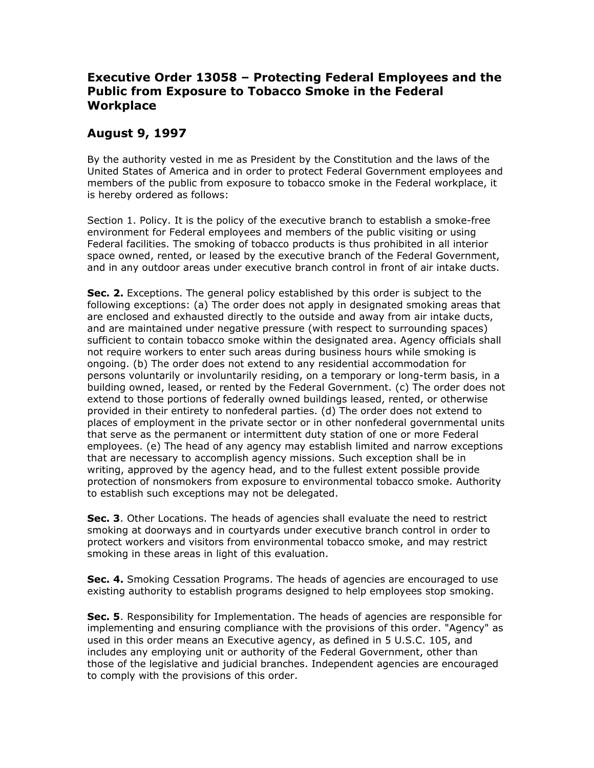## **Executive Order 13058 – Protecting Federal Employees and the Public from Exposure to Tobacco Smoke in the Federal Workplace**

## **August 9, 1997**

By the authority vested in me as President by the Constitution and the laws of the United States of America and in order to protect Federal Government employees and members of the public from exposure to tobacco smoke in the Federal workplace, it is hereby ordered as follows:

Section 1. Policy. It is the policy of the executive branch to establish a smoke-free environment for Federal employees and members of the public visiting or using Federal facilities. The smoking of tobacco products is thus prohibited in all interior space owned, rented, or leased by the executive branch of the Federal Government, and in any outdoor areas under executive branch control in front of air intake ducts.

**Sec. 2.** Exceptions. The general policy established by this order is subject to the following exceptions: (a) The order does not apply in designated smoking areas that are enclosed and exhausted directly to the outside and away from air intake ducts, and are maintained under negative pressure (with respect to surrounding spaces) sufficient to contain tobacco smoke within the designated area. Agency officials shall not require workers to enter such areas during business hours while smoking is ongoing. (b) The order does not extend to any residential accommodation for persons voluntarily or involuntarily residing, on a temporary or long-term basis, in a building owned, leased, or rented by the Federal Government. (c) The order does not extend to those portions of federally owned buildings leased, rented, or otherwise provided in their entirety to nonfederal parties. (d) The order does not extend to places of employment in the private sector or in other nonfederal governmental units that serve as the permanent or intermittent duty station of one or more Federal employees. (e) The head of any agency may establish limited and narrow exceptions that are necessary to accomplish agency missions. Such exception shall be in writing, approved by the agency head, and to the fullest extent possible provide protection of nonsmokers from exposure to environmental tobacco smoke. Authority to establish such exceptions may not be delegated.

**Sec. 3**. Other Locations. The heads of agencies shall evaluate the need to restrict smoking at doorways and in courtyards under executive branch control in order to protect workers and visitors from environmental tobacco smoke, and may restrict smoking in these areas in light of this evaluation.

**Sec. 4.** Smoking Cessation Programs. The heads of agencies are encouraged to use existing authority to establish programs designed to help employees stop smoking.

**Sec. 5**. Responsibility for Implementation. The heads of agencies are responsible for implementing and ensuring compliance with the provisions of this order. "Agency" as used in this order means an Executive agency, as defined in 5 U.S.C. 105, and includes any employing unit or authority of the Federal Government, other than those of the legislative and judicial branches. Independent agencies are encouraged to comply with the provisions of this order.